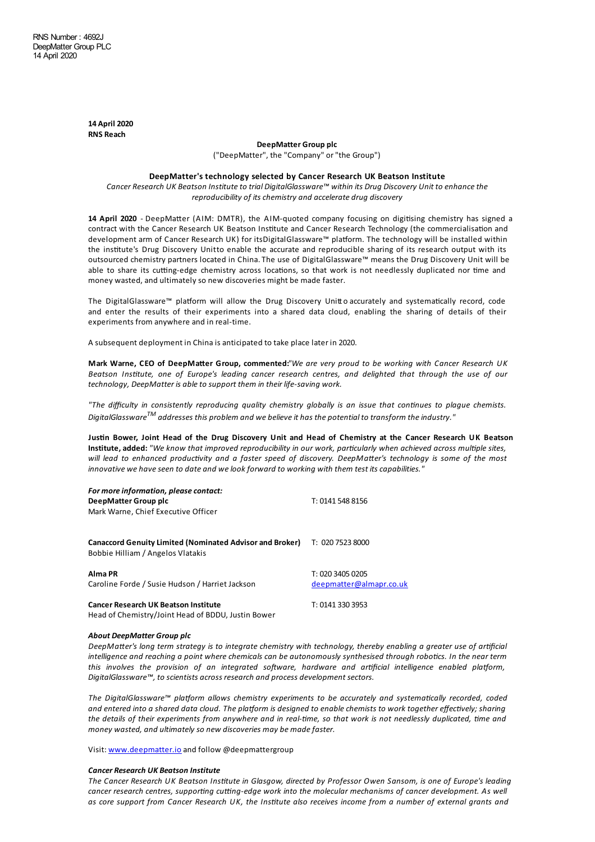**14 April 2020 RNS Reach**

**DeepMatter Group plc**

("DeepMatter", the "Company" or"the Group")

## **DeepMatter's technology selected by Cancer Research UK Beatson Institute**

*Cancer Research UK Beatson Instituteto trial DigitalGlassware™ within its Drug Discovery Unit to enhancethe reproducibility of its chemistry and accelerate drug discovery*

14 April 2020 - DeepMatter (AIM: DMTR), the AIM-quoted company focusing on digitising chemistry has signed a contract with the Cancer Research UK Beatson Institute and Cancer Research Technology (the commercialisation and development arm of Cancer Research UK) for itsDigitalGlassware™ platform. The technology will be installed within the institute's Drug Discovery Unitto enable the accurate and reproducible sharing of its research output with its outsourced chemistry partners located in China.The use of DigitalGlassware™ means the Drug Discovery Unit will be able to share its cutting-edge chemistry across locations, so that work is not needlessly duplicated nor time and money wasted, and ultimately so new discoveries might be made faster.

The DigitalGlassware™ platform will allow the Drug Discovery Unitt o accurately and systematically record, code and enter the results of their experiments into a shared data cloud, enabling the sharing of details of their experiments from anywhere and in real-time.

A subsequent deployment in China is anticipated to take place later in 2020.

Mark Warne, CEO of DeepMatter Group, commented:"We are very proud to be working with Cancer Research UK Beatson Institute, one of Europe's leading cancer research centres, and delighted that through the use of our *technology, DeepMatter is able to support them in their life-saving work.* 

"The difficulty in consistently reproducing quality chemistry globally is an issue that continues to plague chemists. *DigitalGlassware TM addresses this problem and we believeit has the potential to transform theindustry."*

Justin Bower, Joint Head of the Drug Discovery Unit and Head of Chemistry at the Cancer Research UK Beatson Institute, added: "We know that improved reproducibility in our work, particularly when achieved across multiple sites, will lead to enhanced productivity and a faster speed of discovery. DeepMatter's technology is some of the most *innovative we haveseen to date and welook forward to working with them test its capabilities."*

| For more information, please contact:<br>DeepMatter Group plc                                        | T: 0141 548 8156                            |
|------------------------------------------------------------------------------------------------------|---------------------------------------------|
| Mark Warne, Chief Executive Officer                                                                  |                                             |
| <b>Canaccord Genuity Limited (Nominated Advisor and Broker)</b><br>Bobbie Hilliam / Angelos Vlatakis | T: 020 7523 8000                            |
| Alma PR<br>Caroline Forde / Susie Hudson / Harriet Jackson                                           | T: 020 3405 0205<br>deepmatter@almapr.co.uk |
| <b>Cancer Research UK Beatson Institute</b><br>Head of Chemistry/Joint Head of BDDU, Justin Bower    | T: 0141 330 3953                            |

## *About DeepMatter Group plc*

DeepMatter's long term strategy is to integrate chemistry with technology, thereby enabling a greater use of artificial intelligence and reaching a point where chemicals can be autonomously synthesised through robotics. In the near term *this* involves the provision of an integrated software, hardware and artificial intelligence enabled platform, *DigitalGlassware™, to scientists across research and process development sectors.*

*The* DigitalGlassware™ platform allows chemistry experiments to be accurately and systematically recorded, coded and entered into a shared data cloud. The platform is designed to enable chemists to work together effectively; sharing the details of their experiments from anywhere and in real-time, so that work is not needlessly duplicated, time and *money wasted, and ultimately so new discoveries may be madefaster.*

Visit: [www.deepmatter.io](http://www.deepmatter.io/) and follow @deepmattergroup

## *Cancer Research UK Beatson Institute*

The Cancer Research UK Beatson Institute in Glasgow, directed by Professor Owen Sansom, is one of Europe's leading  $c$  *cancer research centres, supporting cutting-edge* work *into* the molecular mechanisms of cancer development. As well as core support from Cancer Research UK, the Institute also receives income from a number of external grants and